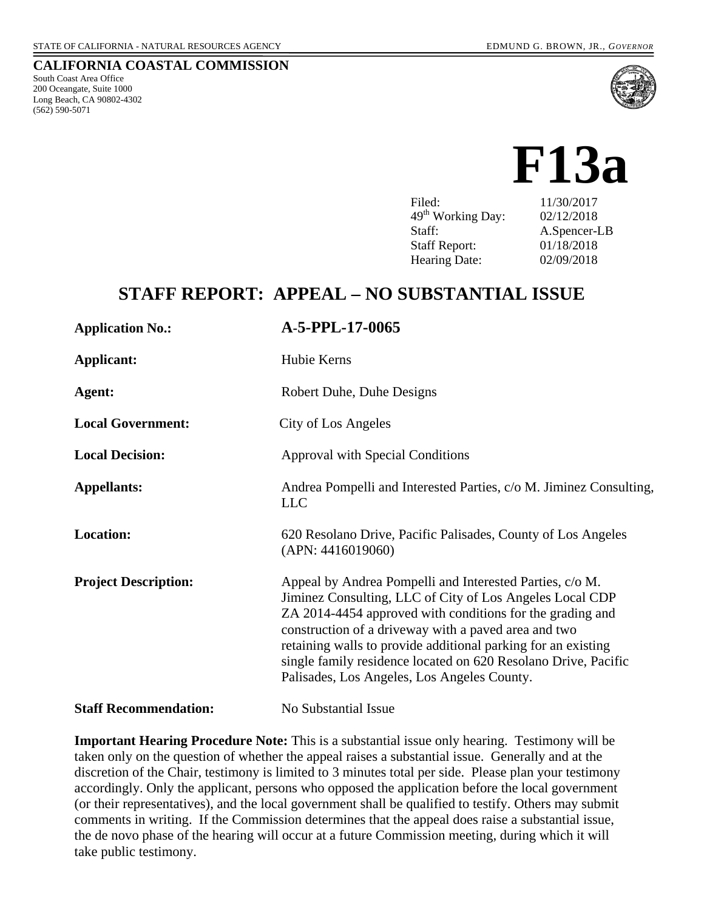South Coast Area Office 200 Oceangate, Suite 1000 Long Beach, CA 90802-4302 (562) 590-5071





Filed: 11/30/2017 49th Working Day: 02/12/2018 Staff: A.Spencer-LB Staff Report: 01/18/2018 Hearing Date: 02/09/2018

# **STAFF REPORT: APPEAL – NO SUBSTANTIAL ISSUE**

| <b>Application No.:</b>      | A-5-PPL-17-0065                                                                                                                                                                                                                                                                                                                                                                                                             |
|------------------------------|-----------------------------------------------------------------------------------------------------------------------------------------------------------------------------------------------------------------------------------------------------------------------------------------------------------------------------------------------------------------------------------------------------------------------------|
| Applicant:                   | Hubie Kerns                                                                                                                                                                                                                                                                                                                                                                                                                 |
| Agent:                       | Robert Duhe, Duhe Designs                                                                                                                                                                                                                                                                                                                                                                                                   |
| <b>Local Government:</b>     | City of Los Angeles                                                                                                                                                                                                                                                                                                                                                                                                         |
| <b>Local Decision:</b>       | Approval with Special Conditions                                                                                                                                                                                                                                                                                                                                                                                            |
| <b>Appellants:</b>           | Andrea Pompelli and Interested Parties, c/o M. Jiminez Consulting,<br><b>LLC</b>                                                                                                                                                                                                                                                                                                                                            |
| <b>Location:</b>             | 620 Resolano Drive, Pacific Palisades, County of Los Angeles<br>(APN: 4416019060)                                                                                                                                                                                                                                                                                                                                           |
| <b>Project Description:</b>  | Appeal by Andrea Pompelli and Interested Parties, c/o M.<br>Jiminez Consulting, LLC of City of Los Angeles Local CDP<br>ZA 2014-4454 approved with conditions for the grading and<br>construction of a driveway with a paved area and two<br>retaining walls to provide additional parking for an existing<br>single family residence located on 620 Resolano Drive, Pacific<br>Palisades, Los Angeles, Los Angeles County. |
| <b>Staff Recommendation:</b> | No Substantial Issue                                                                                                                                                                                                                                                                                                                                                                                                        |

**Important Hearing Procedure Note:** This is a substantial issue only hearing. Testimony will be taken only on the question of whether the appeal raises a substantial issue. Generally and at the discretion of the Chair, testimony is limited to 3 minutes total per side. Please plan your testimony accordingly. Only the applicant, persons who opposed the application before the local government (or their representatives), and the local government shall be qualified to testify. Others may submit comments in writing. If the Commission determines that the appeal does raise a substantial issue, the de novo phase of the hearing will occur at a future Commission meeting, during which it will take public testimony.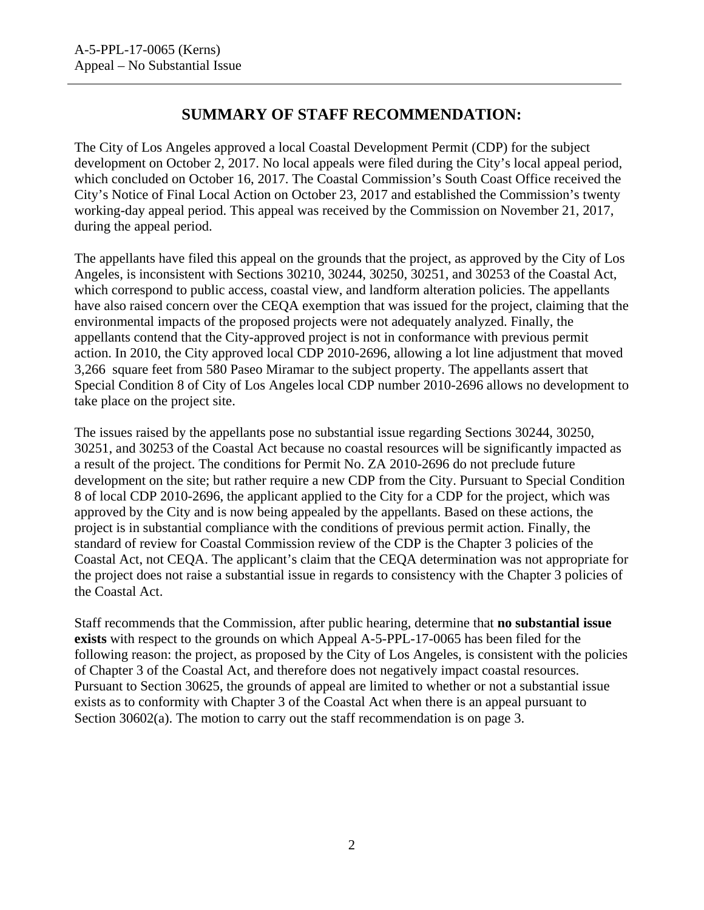# **SUMMARY OF STAFF RECOMMENDATION:**

The City of Los Angeles approved a local Coastal Development Permit (CDP) for the subject development on October 2, 2017. No local appeals were filed during the City's local appeal period, which concluded on October 16, 2017. The Coastal Commission's South Coast Office received the City's Notice of Final Local Action on October 23, 2017 and established the Commission's twenty working-day appeal period. This appeal was received by the Commission on November 21, 2017, during the appeal period.

The appellants have filed this appeal on the grounds that the project, as approved by the City of Los Angeles, is inconsistent with Sections 30210, 30244, 30250, 30251, and 30253 of the Coastal Act, which correspond to public access, coastal view, and landform alteration policies. The appellants have also raised concern over the CEQA exemption that was issued for the project, claiming that the environmental impacts of the proposed projects were not adequately analyzed. Finally, the appellants contend that the City-approved project is not in conformance with previous permit action. In 2010, the City approved local CDP 2010-2696, allowing a lot line adjustment that moved 3,266 square feet from 580 Paseo Miramar to the subject property. The appellants assert that Special Condition 8 of City of Los Angeles local CDP number 2010-2696 allows no development to take place on the project site.

The issues raised by the appellants pose no substantial issue regarding Sections 30244, 30250, 30251, and 30253 of the Coastal Act because no coastal resources will be significantly impacted as a result of the project. The conditions for Permit No. ZA 2010-2696 do not preclude future development on the site; but rather require a new CDP from the City. Pursuant to Special Condition 8 of local CDP 2010-2696, the applicant applied to the City for a CDP for the project, which was approved by the City and is now being appealed by the appellants. Based on these actions, the project is in substantial compliance with the conditions of previous permit action. Finally, the standard of review for Coastal Commission review of the CDP is the Chapter 3 policies of the Coastal Act, not CEQA. The applicant's claim that the CEQA determination was not appropriate for the project does not raise a substantial issue in regards to consistency with the Chapter 3 policies of the Coastal Act.

Staff recommends that the Commission, after public hearing, determine that **no substantial issue exists** with respect to the grounds on which Appeal A-5-PPL-17-0065 has been filed for the following reason: the project, as proposed by the City of Los Angeles, is consistent with the policies of Chapter 3 of the Coastal Act, and therefore does not negatively impact coastal resources. Pursuant to Section 30625, the grounds of appeal are limited to whether or not a substantial issue exists as to conformity with Chapter 3 of the Coastal Act when there is an appeal pursuant to Section 30602(a). The motion to carry out the staff recommendation is on page 3.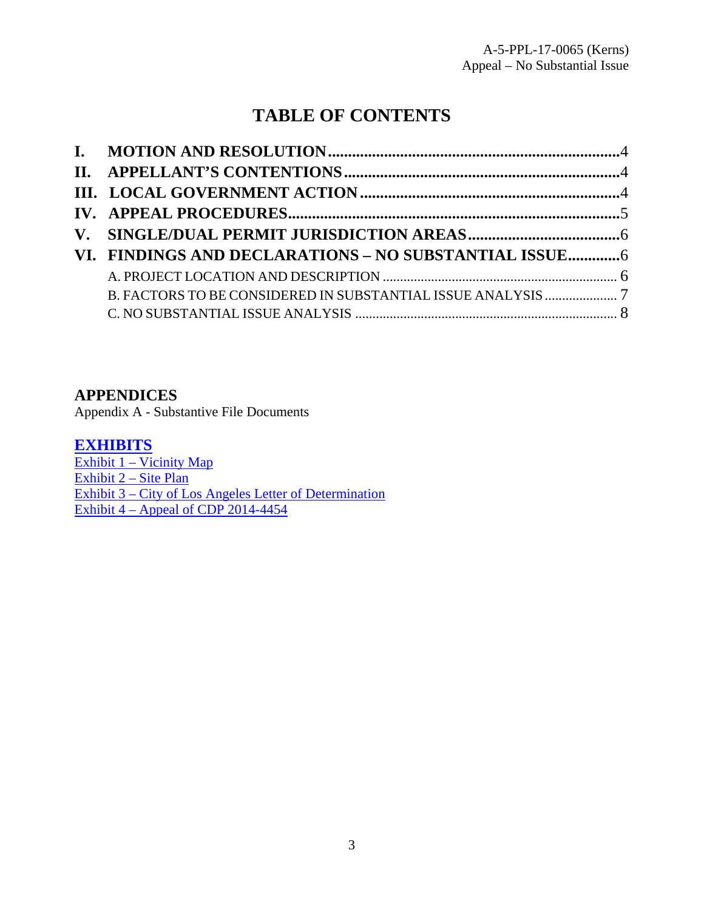# **TABLE OF CONTENTS**

| VI. FINDINGS AND DECLARATIONS - NO SUBSTANTIAL ISSUE 6 |  |
|--------------------------------------------------------|--|
|                                                        |  |
|                                                        |  |
|                                                        |  |

### **APPENDICES**

Appendix A - Substantive File Documents

### **[EXHIBITS](https://documents.coastal.ca.gov/reports/2018/2/13a/13a-2-2018-exhibits.pdf)**

[Exhibit 1 – Vicinity Map](https://documents.coastal.ca.gov/reports/2018/2/13a/13a-2-2018-exhibits.pdf) [Exhibit 2 – Site Plan](https://documents.coastal.ca.gov/reports/2018/2/13a/13a-2-2018-exhibits.pdf) [Exhibit 3 – City of Los Angeles Letter of Determination](https://documents.coastal.ca.gov/reports/2018/2/13a/13a-2-2018-exhibits.pdf) Exhibit  $4 -$  Appeal of CDP 2014-4454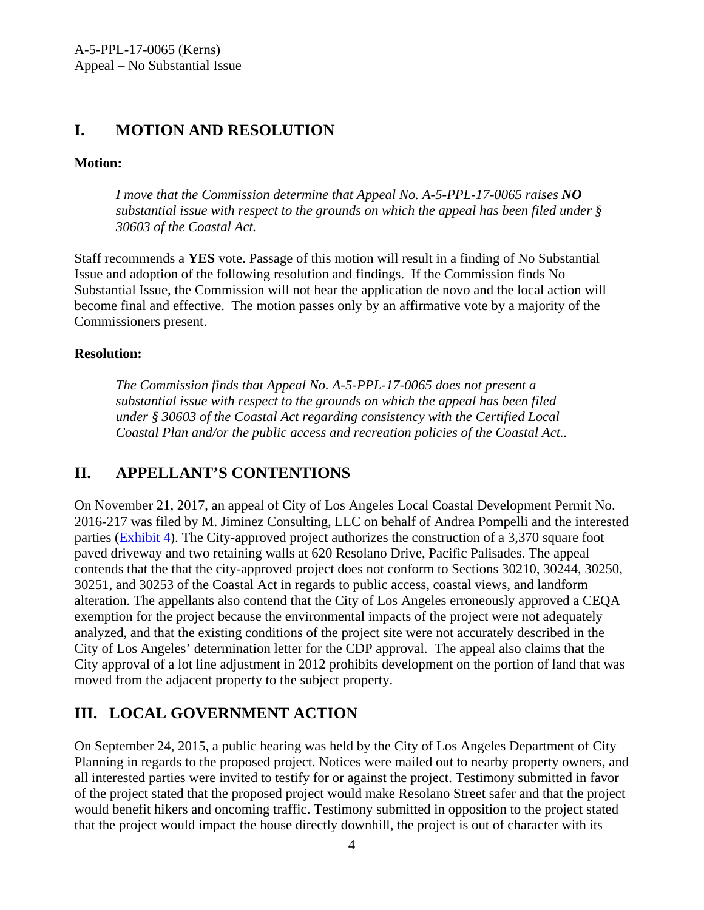# <span id="page-3-0"></span>**I. MOTION AND RESOLUTION**

### **Motion:**

*I move that the Commission determine that Appeal No. A-5-PPL-17-0065 raises NO substantial issue with respect to the grounds on which the appeal has been filed under § 30603 of the Coastal Act.* 

Staff recommends a **YES** vote. Passage of this motion will result in a finding of No Substantial Issue and adoption of the following resolution and findings. If the Commission finds No Substantial Issue, the Commission will not hear the application de novo and the local action will become final and effective. The motion passes only by an affirmative vote by a majority of the Commissioners present.

#### **Resolution:**

*The Commission finds that Appeal No. A-5-PPL-17-0065 does not present a substantial issue with respect to the grounds on which the appeal has been filed under § 30603 of the Coastal Act regarding consistency with the Certified Local Coastal Plan and/or the public access and recreation policies of the Coastal Act..* 

# <span id="page-3-1"></span>**II. APPELLANT'S CONTENTIONS**

On November 21, 2017, an appeal of City of Los Angeles Local Coastal Development Permit No. 2016-217 was filed by M. Jiminez Consulting, LLC on behalf of Andrea Pompelli and the interested parties [\(Exhibit 4\)](https://documents.coastal.ca.gov/reports/2018/2/13a/13a-2-2018-exhibits.pdf). The City-approved project authorizes the construction of a 3,370 square foot paved driveway and two retaining walls at 620 Resolano Drive, Pacific Palisades. The appeal contends that the that the city-approved project does not conform to Sections 30210, 30244, 30250, 30251, and 30253 of the Coastal Act in regards to public access, coastal views, and landform alteration. The appellants also contend that the City of Los Angeles erroneously approved a CEQA exemption for the project because the environmental impacts of the project were not adequately analyzed, and that the existing conditions of the project site were not accurately described in the City of Los Angeles' determination letter for the CDP approval. The appeal also claims that the City approval of a lot line adjustment in 2012 prohibits development on the portion of land that was moved from the adjacent property to the subject property.

# <span id="page-3-2"></span>**III. LOCAL GOVERNMENT ACTION**

On September 24, 2015, a public hearing was held by the City of Los Angeles Department of City Planning in regards to the proposed project. Notices were mailed out to nearby property owners, and all interested parties were invited to testify for or against the project. Testimony submitted in favor of the project stated that the proposed project would make Resolano Street safer and that the project would benefit hikers and oncoming traffic. Testimony submitted in opposition to the project stated that the project would impact the house directly downhill, the project is out of character with its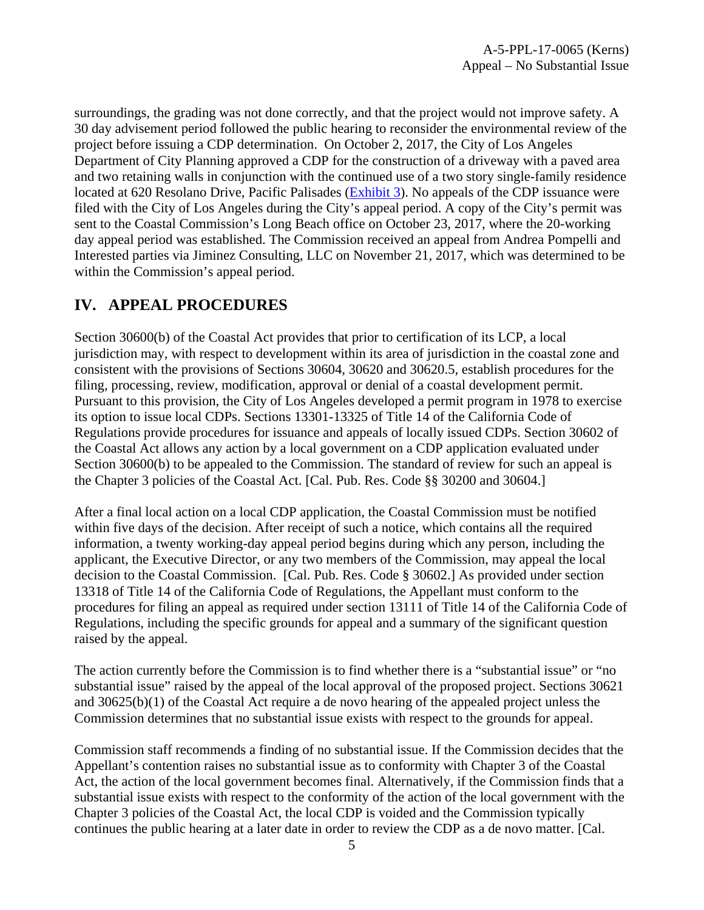surroundings, the grading was not done correctly, and that the project would not improve safety. A 30 day advisement period followed the public hearing to reconsider the environmental review of the project before issuing a CDP determination. On October 2, 2017, the City of Los Angeles Department of City Planning approved a CDP for the construction of a driveway with a paved area and two retaining walls in conjunction with the continued use of a two story single-family residence located at 620 Resolano Drive, Pacific Palisades [\(Exhibit 3\)](https://documents.coastal.ca.gov/reports/2018/2/13a/13a-2-2018-exhibits.pdf). No appeals of the CDP issuance were filed with the City of Los Angeles during the City's appeal period. A copy of the City's permit was sent to the Coastal Commission's Long Beach office on October 23, 2017, where the 20-working day appeal period was established. The Commission received an appeal from Andrea Pompelli and Interested parties via Jiminez Consulting, LLC on November 21, 2017, which was determined to be within the Commission's appeal period.

### <span id="page-4-0"></span>**IV. APPEAL PROCEDURES**

Section 30600(b) of the Coastal Act provides that prior to certification of its LCP, a local jurisdiction may, with respect to development within its area of jurisdiction in the coastal zone and consistent with the provisions of Sections 30604, 30620 and 30620.5, establish procedures for the filing, processing, review, modification, approval or denial of a coastal development permit. Pursuant to this provision, the City of Los Angeles developed a permit program in 1978 to exercise its option to issue local CDPs. Sections 13301-13325 of Title 14 of the California Code of Regulations provide procedures for issuance and appeals of locally issued CDPs. Section 30602 of the Coastal Act allows any action by a local government on a CDP application evaluated under Section 30600(b) to be appealed to the Commission. The standard of review for such an appeal is the Chapter 3 policies of the Coastal Act. [Cal. Pub. Res. Code §§ 30200 and 30604.]

After a final local action on a local CDP application, the Coastal Commission must be notified within five days of the decision. After receipt of such a notice, which contains all the required information, a twenty working-day appeal period begins during which any person, including the applicant, the Executive Director, or any two members of the Commission, may appeal the local decision to the Coastal Commission. [Cal. Pub. Res. Code § 30602.] As provided under section 13318 of Title 14 of the California Code of Regulations, the Appellant must conform to the procedures for filing an appeal as required under section 13111 of Title 14 of the California Code of Regulations, including the specific grounds for appeal and a summary of the significant question raised by the appeal.

The action currently before the Commission is to find whether there is a "substantial issue" or "no substantial issue" raised by the appeal of the local approval of the proposed project. Sections 30621 and 30625(b)(1) of the Coastal Act require a de novo hearing of the appealed project unless the Commission determines that no substantial issue exists with respect to the grounds for appeal.

Commission staff recommends a finding of no substantial issue. If the Commission decides that the Appellant's contention raises no substantial issue as to conformity with Chapter 3 of the Coastal Act, the action of the local government becomes final. Alternatively, if the Commission finds that a substantial issue exists with respect to the conformity of the action of the local government with the Chapter 3 policies of the Coastal Act, the local CDP is voided and the Commission typically continues the public hearing at a later date in order to review the CDP as a de novo matter. [Cal.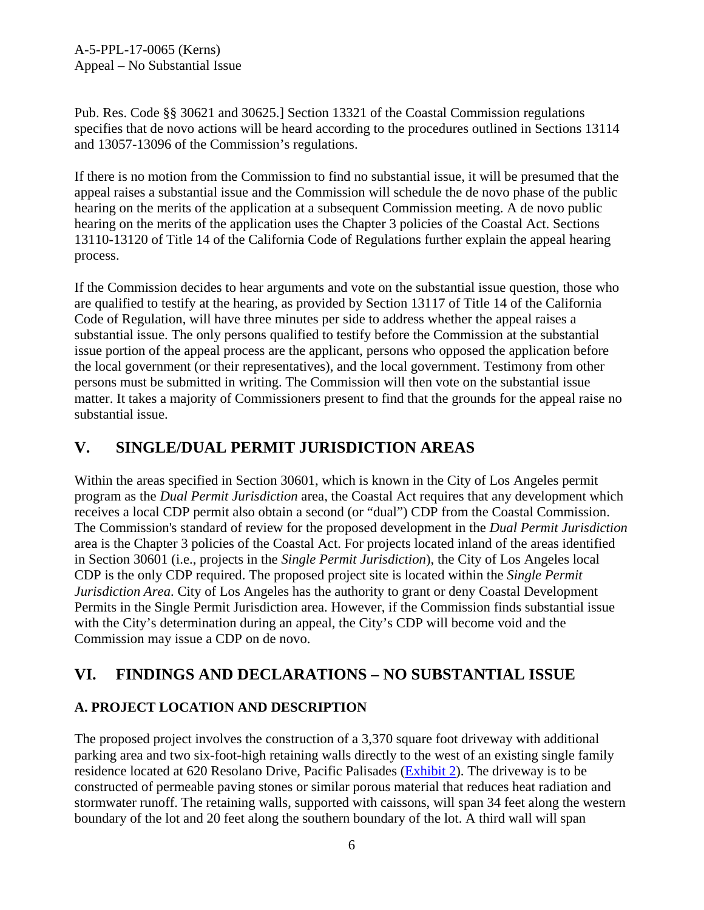A-5-PPL-17-0065 (Kerns) Appeal – No Substantial Issue

Pub. Res. Code §§ 30621 and 30625.] Section 13321 of the Coastal Commission regulations specifies that de novo actions will be heard according to the procedures outlined in Sections 13114 and 13057-13096 of the Commission's regulations.

If there is no motion from the Commission to find no substantial issue, it will be presumed that the appeal raises a substantial issue and the Commission will schedule the de novo phase of the public hearing on the merits of the application at a subsequent Commission meeting. A de novo public hearing on the merits of the application uses the Chapter 3 policies of the Coastal Act. Sections 13110-13120 of Title 14 of the California Code of Regulations further explain the appeal hearing process.

If the Commission decides to hear arguments and vote on the substantial issue question, those who are qualified to testify at the hearing, as provided by Section 13117 of Title 14 of the California Code of Regulation, will have three minutes per side to address whether the appeal raises a substantial issue. The only persons qualified to testify before the Commission at the substantial issue portion of the appeal process are the applicant, persons who opposed the application before the local government (or their representatives), and the local government. Testimony from other persons must be submitted in writing. The Commission will then vote on the substantial issue matter. It takes a majority of Commissioners present to find that the grounds for the appeal raise no substantial issue.

# <span id="page-5-0"></span>**V. SINGLE/DUAL PERMIT JURISDICTION AREAS**

Within the areas specified in Section 30601, which is known in the City of Los Angeles permit program as the *Dual Permit Jurisdiction* area, the Coastal Act requires that any development which receives a local CDP permit also obtain a second (or "dual") CDP from the Coastal Commission. The Commission's standard of review for the proposed development in the *Dual Permit Jurisdiction* area is the Chapter 3 policies of the Coastal Act. For projects located inland of the areas identified in Section 30601 (i.e., projects in the *Single Permit Jurisdiction*), the City of Los Angeles local CDP is the only CDP required. The proposed project site is located within the *Single Permit Jurisdiction Area*. City of Los Angeles has the authority to grant or deny Coastal Development Permits in the Single Permit Jurisdiction area. However, if the Commission finds substantial issue with the City's determination during an appeal, the City's CDP will become void and the Commission may issue a CDP on de novo.

### <span id="page-5-1"></span>**VI. FINDINGS AND DECLARATIONS – NO SUBSTANTIAL ISSUE**

### <span id="page-5-2"></span>**A. PROJECT LOCATION AND DESCRIPTION**

The proposed project involves the construction of a 3,370 square foot driveway with additional parking area and two six-foot-high retaining walls directly to the west of an existing single family residence located at 620 Resolano Drive, Pacific Palisades [\(Exhibit 2\)](https://documents.coastal.ca.gov/reports/2018/2/13a/13a-2-2018-exhibits.pdf). The driveway is to be constructed of permeable paving stones or similar porous material that reduces heat radiation and stormwater runoff. The retaining walls, supported with caissons, will span 34 feet along the western boundary of the lot and 20 feet along the southern boundary of the lot. A third wall will span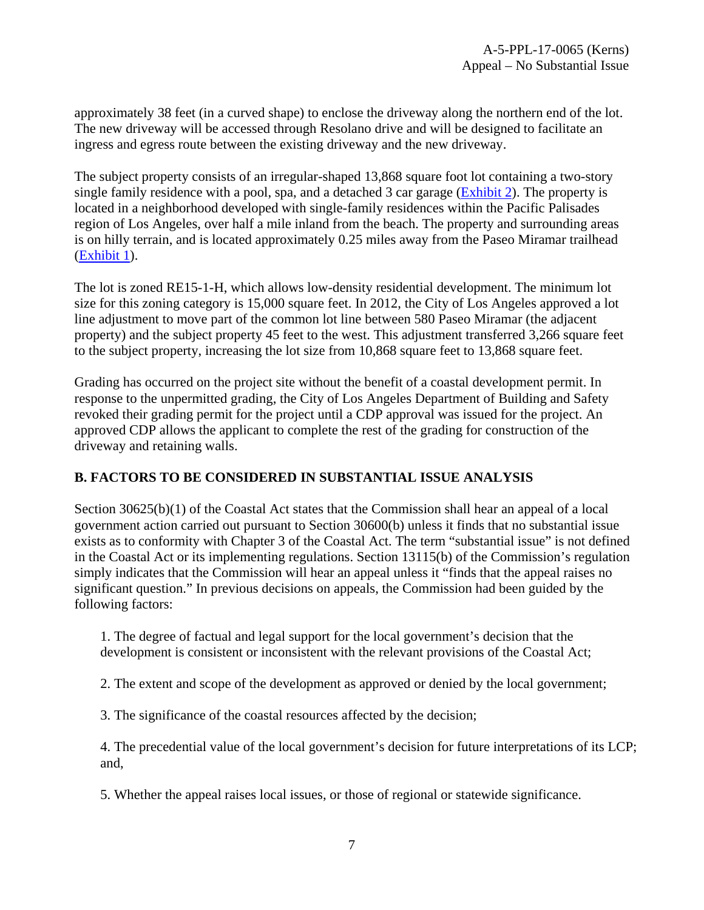approximately 38 feet (in a curved shape) to enclose the driveway along the northern end of the lot. The new driveway will be accessed through Resolano drive and will be designed to facilitate an ingress and egress route between the existing driveway and the new driveway.

The subject property consists of an irregular-shaped 13,868 square foot lot containing a two-story single family residence with a pool, spa, and a detached 3 car garage [\(Exhibit 2\)](https://documents.coastal.ca.gov/reports/2018/2/13a/13a-2-2018-exhibits.pdf). The property is located in a neighborhood developed with single-family residences within the Pacific Palisades region of Los Angeles, over half a mile inland from the beach. The property and surrounding areas is on hilly terrain, and is located approximately 0.25 miles away from the Paseo Miramar trailhead [\(Exhibit 1\)](https://documents.coastal.ca.gov/reports/2018/2/13a/13a-2-2018-exhibits.pdf).

The lot is zoned RE15-1-H, which allows low-density residential development. The minimum lot size for this zoning category is 15,000 square feet. In 2012, the City of Los Angeles approved a lot line adjustment to move part of the common lot line between 580 Paseo Miramar (the adjacent property) and the subject property 45 feet to the west. This adjustment transferred 3,266 square feet to the subject property, increasing the lot size from 10,868 square feet to 13,868 square feet.

Grading has occurred on the project site without the benefit of a coastal development permit. In response to the unpermitted grading, the City of Los Angeles Department of Building and Safety revoked their grading permit for the project until a CDP approval was issued for the project. An approved CDP allows the applicant to complete the rest of the grading for construction of the driveway and retaining walls.

#### <span id="page-6-0"></span>**B. FACTORS TO BE CONSIDERED IN SUBSTANTIAL ISSUE ANALYSIS**

Section 30625(b)(1) of the Coastal Act states that the Commission shall hear an appeal of a local government action carried out pursuant to Section 30600(b) unless it finds that no substantial issue exists as to conformity with Chapter 3 of the Coastal Act. The term "substantial issue" is not defined in the Coastal Act or its implementing regulations. Section 13115(b) of the Commission's regulation simply indicates that the Commission will hear an appeal unless it "finds that the appeal raises no significant question." In previous decisions on appeals, the Commission had been guided by the following factors:

1. The degree of factual and legal support for the local government's decision that the development is consistent or inconsistent with the relevant provisions of the Coastal Act;

2. The extent and scope of the development as approved or denied by the local government;

3. The significance of the coastal resources affected by the decision;

4. The precedential value of the local government's decision for future interpretations of its LCP; and,

5. Whether the appeal raises local issues, or those of regional or statewide significance.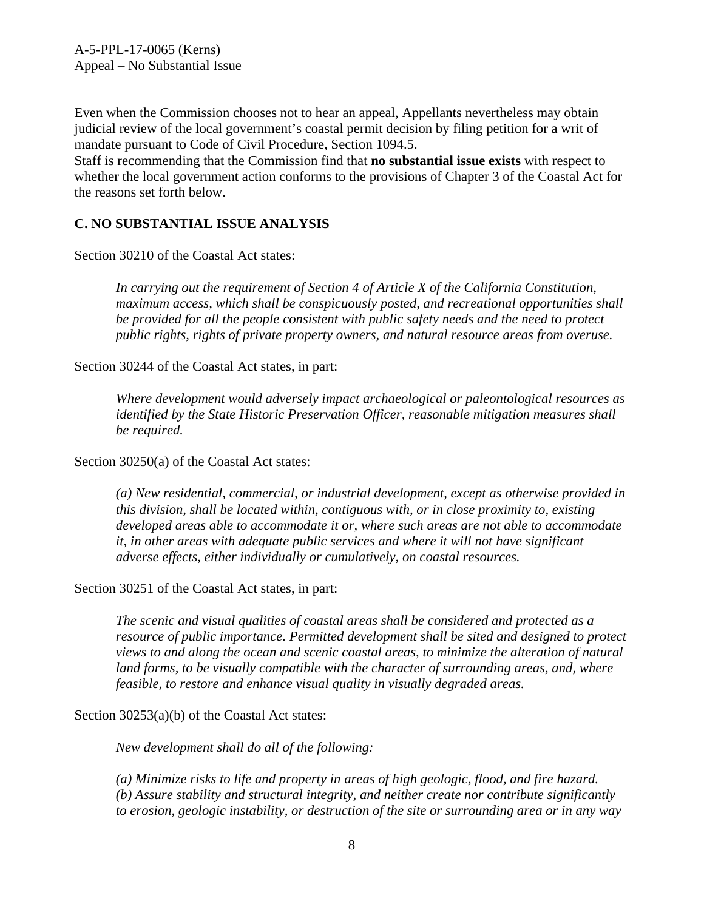Even when the Commission chooses not to hear an appeal, Appellants nevertheless may obtain judicial review of the local government's coastal permit decision by filing petition for a writ of mandate pursuant to Code of Civil Procedure, Section 1094.5.

Staff is recommending that the Commission find that **no substantial issue exists** with respect to whether the local government action conforms to the provisions of Chapter 3 of the Coastal Act for the reasons set forth below.

#### <span id="page-7-0"></span>**C. NO SUBSTANTIAL ISSUE ANALYSIS**

Section 30210 of the Coastal Act states:

*In carrying out the requirement of Section 4 of Article X of the California Constitution, maximum access, which shall be conspicuously posted, and recreational opportunities shall be provided for all the people consistent with public safety needs and the need to protect public rights, rights of private property owners, and natural resource areas from overuse.*

Section 30244 of the Coastal Act states, in part:

*Where development would adversely impact archaeological or paleontological resources as identified by the State Historic Preservation Officer, reasonable mitigation measures shall be required.*

Section 30250(a) of the Coastal Act states:

*(a) New residential, commercial, or industrial development, except as otherwise provided in this division, shall be located within, contiguous with, or in close proximity to, existing developed areas able to accommodate it or, where such areas are not able to accommodate it, in other areas with adequate public services and where it will not have significant adverse effects, either individually or cumulatively, on coastal resources.* 

Section 30251 of the Coastal Act states, in part:

*The scenic and visual qualities of coastal areas shall be considered and protected as a resource of public importance. Permitted development shall be sited and designed to protect views to and along the ocean and scenic coastal areas, to minimize the alteration of natural*  land forms, to be visually compatible with the character of surrounding areas, and, where *feasible, to restore and enhance visual quality in visually degraded areas.* 

Section 30253(a)(b) of the Coastal Act states:

*New development shall do all of the following:* 

*(a) Minimize risks to life and property in areas of high geologic, flood, and fire hazard. (b) Assure stability and structural integrity, and neither create nor contribute significantly to erosion, geologic instability, or destruction of the site or surrounding area or in any way*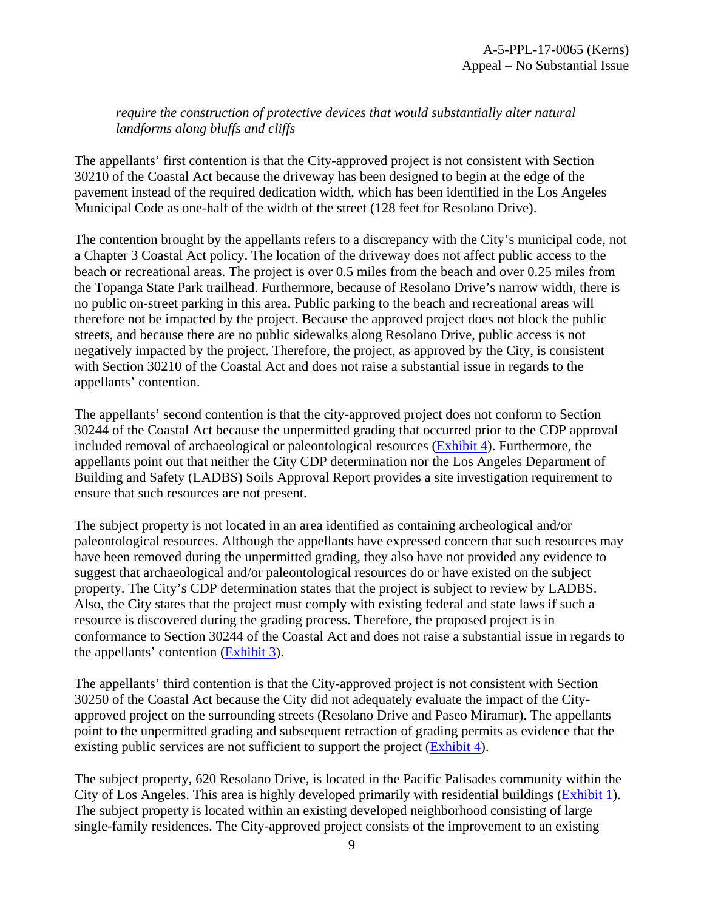*require the construction of protective devices that would substantially alter natural landforms along bluffs and cliffs* 

The appellants' first contention is that the City-approved project is not consistent with Section 30210 of the Coastal Act because the driveway has been designed to begin at the edge of the pavement instead of the required dedication width, which has been identified in the Los Angeles Municipal Code as one-half of the width of the street (128 feet for Resolano Drive).

The contention brought by the appellants refers to a discrepancy with the City's municipal code, not a Chapter 3 Coastal Act policy. The location of the driveway does not affect public access to the beach or recreational areas. The project is over 0.5 miles from the beach and over 0.25 miles from the Topanga State Park trailhead. Furthermore, because of Resolano Drive's narrow width, there is no public on-street parking in this area. Public parking to the beach and recreational areas will therefore not be impacted by the project. Because the approved project does not block the public streets, and because there are no public sidewalks along Resolano Drive, public access is not negatively impacted by the project. Therefore, the project, as approved by the City, is consistent with Section 30210 of the Coastal Act and does not raise a substantial issue in regards to the appellants' contention.

The appellants' second contention is that the city-approved project does not conform to Section 30244 of the Coastal Act because the unpermitted grading that occurred prior to the CDP approval included removal of archaeological or paleontological resources [\(Exhibit 4\)](https://documents.coastal.ca.gov/reports/2018/2/13a/13a-2-2018-exhibits.pdf). Furthermore, the appellants point out that neither the City CDP determination nor the Los Angeles Department of Building and Safety (LADBS) Soils Approval Report provides a site investigation requirement to ensure that such resources are not present.

The subject property is not located in an area identified as containing archeological and/or paleontological resources. Although the appellants have expressed concern that such resources may have been removed during the unpermitted grading, they also have not provided any evidence to suggest that archaeological and/or paleontological resources do or have existed on the subject property. The City's CDP determination states that the project is subject to review by LADBS. Also, the City states that the project must comply with existing federal and state laws if such a resource is discovered during the grading process. Therefore, the proposed project is in conformance to Section 30244 of the Coastal Act and does not raise a substantial issue in regards to the appellants' contention [\(Exhibit 3\)](https://documents.coastal.ca.gov/reports/2018/2/13a/13a-2-2018-exhibits.pdf).

The appellants' third contention is that the City-approved project is not consistent with Section 30250 of the Coastal Act because the City did not adequately evaluate the impact of the Cityapproved project on the surrounding streets (Resolano Drive and Paseo Miramar). The appellants point to the unpermitted grading and subsequent retraction of grading permits as evidence that the existing public services are not sufficient to support the project [\(Exhibit 4\)](https://documents.coastal.ca.gov/reports/2018/2/13a/13a-2-2018-exhibits.pdf).

The subject property, 620 Resolano Drive, is located in the Pacific Palisades community within the City of Los Angeles. This area is highly developed primarily with residential buildings [\(Exhibit 1\)](https://documents.coastal.ca.gov/reports/2018/2/13a/13a-2-2018-exhibits.pdf). The subject property is located within an existing developed neighborhood consisting of large single-family residences. The City-approved project consists of the improvement to an existing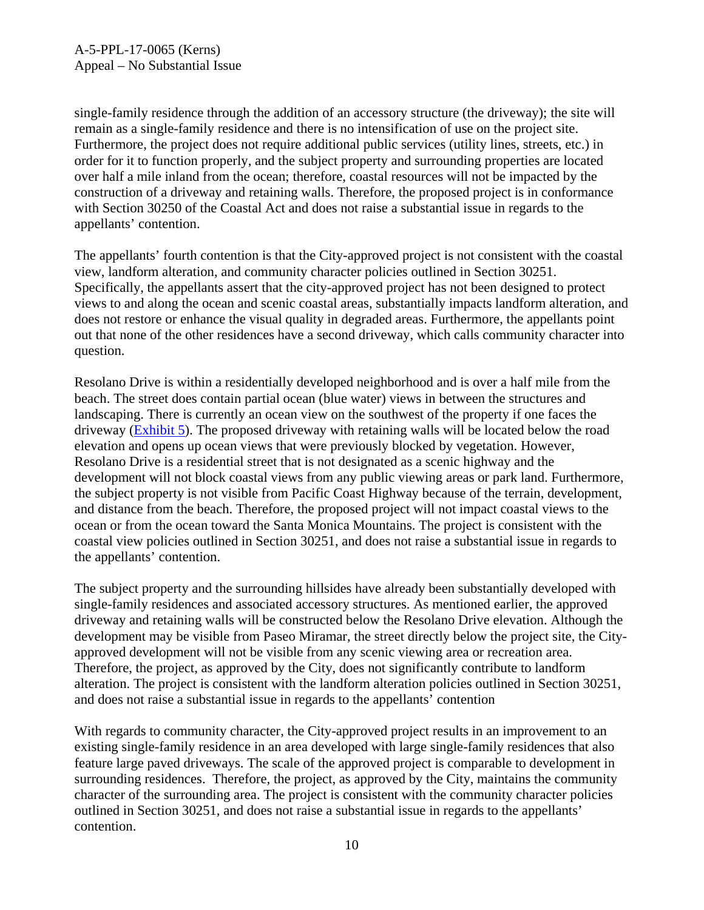single-family residence through the addition of an accessory structure (the driveway); the site will remain as a single-family residence and there is no intensification of use on the project site. Furthermore, the project does not require additional public services (utility lines, streets, etc.) in order for it to function properly, and the subject property and surrounding properties are located over half a mile inland from the ocean; therefore, coastal resources will not be impacted by the construction of a driveway and retaining walls. Therefore, the proposed project is in conformance with Section 30250 of the Coastal Act and does not raise a substantial issue in regards to the appellants' contention.

The appellants' fourth contention is that the City-approved project is not consistent with the coastal view, landform alteration, and community character policies outlined in Section 30251. Specifically, the appellants assert that the city-approved project has not been designed to protect views to and along the ocean and scenic coastal areas, substantially impacts landform alteration, and does not restore or enhance the visual quality in degraded areas. Furthermore, the appellants point out that none of the other residences have a second driveway, which calls community character into question.

Resolano Drive is within a residentially developed neighborhood and is over a half mile from the beach. The street does contain partial ocean (blue water) views in between the structures and landscaping. There is currently an ocean view on the southwest of the property if one faces the driveway [\(Exhibit 5\)](https://documents.coastal.ca.gov/reports/2018/2/13a/13a-2-2018-exhibits.pdf). The proposed driveway with retaining walls will be located below the road elevation and opens up ocean views that were previously blocked by vegetation. However, Resolano Drive is a residential street that is not designated as a scenic highway and the development will not block coastal views from any public viewing areas or park land. Furthermore, the subject property is not visible from Pacific Coast Highway because of the terrain, development, and distance from the beach. Therefore, the proposed project will not impact coastal views to the ocean or from the ocean toward the Santa Monica Mountains. The project is consistent with the coastal view policies outlined in Section 30251, and does not raise a substantial issue in regards to the appellants' contention.

The subject property and the surrounding hillsides have already been substantially developed with single-family residences and associated accessory structures. As mentioned earlier, the approved driveway and retaining walls will be constructed below the Resolano Drive elevation. Although the development may be visible from Paseo Miramar, the street directly below the project site, the Cityapproved development will not be visible from any scenic viewing area or recreation area. Therefore, the project, as approved by the City, does not significantly contribute to landform alteration. The project is consistent with the landform alteration policies outlined in Section 30251, and does not raise a substantial issue in regards to the appellants' contention

With regards to community character, the City-approved project results in an improvement to an existing single-family residence in an area developed with large single-family residences that also feature large paved driveways. The scale of the approved project is comparable to development in surrounding residences. Therefore, the project, as approved by the City, maintains the community character of the surrounding area. The project is consistent with the community character policies outlined in Section 30251, and does not raise a substantial issue in regards to the appellants' contention.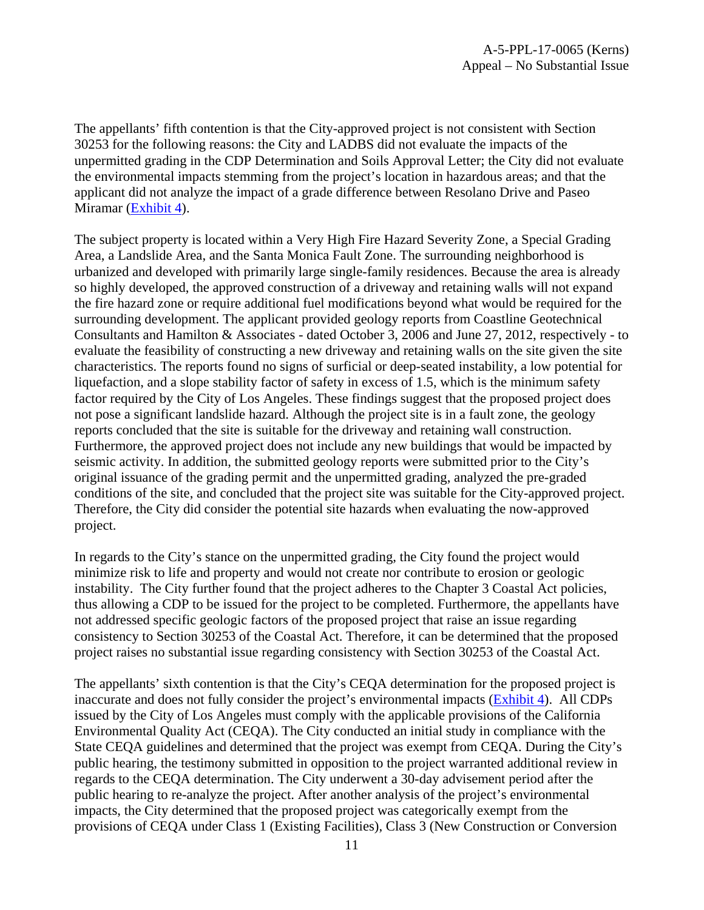The appellants' fifth contention is that the City-approved project is not consistent with Section 30253 for the following reasons: the City and LADBS did not evaluate the impacts of the unpermitted grading in the CDP Determination and Soils Approval Letter; the City did not evaluate the environmental impacts stemming from the project's location in hazardous areas; and that the applicant did not analyze the impact of a grade difference between Resolano Drive and Paseo Miramar [\(Exhibit 4\)](https://documents.coastal.ca.gov/reports/2018/2/13a/13a-2-2018-exhibits.pdf).

The subject property is located within a Very High Fire Hazard Severity Zone, a Special Grading Area, a Landslide Area, and the Santa Monica Fault Zone. The surrounding neighborhood is urbanized and developed with primarily large single-family residences. Because the area is already so highly developed, the approved construction of a driveway and retaining walls will not expand the fire hazard zone or require additional fuel modifications beyond what would be required for the surrounding development. The applicant provided geology reports from Coastline Geotechnical Consultants and Hamilton & Associates - dated October 3, 2006 and June 27, 2012, respectively - to evaluate the feasibility of constructing a new driveway and retaining walls on the site given the site characteristics. The reports found no signs of surficial or deep-seated instability, a low potential for liquefaction, and a slope stability factor of safety in excess of 1.5, which is the minimum safety factor required by the City of Los Angeles. These findings suggest that the proposed project does not pose a significant landslide hazard. Although the project site is in a fault zone, the geology reports concluded that the site is suitable for the driveway and retaining wall construction. Furthermore, the approved project does not include any new buildings that would be impacted by seismic activity. In addition, the submitted geology reports were submitted prior to the City's original issuance of the grading permit and the unpermitted grading, analyzed the pre-graded conditions of the site, and concluded that the project site was suitable for the City-approved project. Therefore, the City did consider the potential site hazards when evaluating the now-approved project.

In regards to the City's stance on the unpermitted grading, the City found the project would minimize risk to life and property and would not create nor contribute to erosion or geologic instability. The City further found that the project adheres to the Chapter 3 Coastal Act policies, thus allowing a CDP to be issued for the project to be completed. Furthermore, the appellants have not addressed specific geologic factors of the proposed project that raise an issue regarding consistency to Section 30253 of the Coastal Act. Therefore, it can be determined that the proposed project raises no substantial issue regarding consistency with Section 30253 of the Coastal Act.

The appellants' sixth contention is that the City's CEQA determination for the proposed project is inaccurate and does not fully consider the project's environmental impacts [\(Exhibit 4\)](https://documents.coastal.ca.gov/reports/2018/2/13a/13a-2-2018-exhibits.pdf). All CDPs issued by the City of Los Angeles must comply with the applicable provisions of the California Environmental Quality Act (CEQA). The City conducted an initial study in compliance with the State CEQA guidelines and determined that the project was exempt from CEQA. During the City's public hearing, the testimony submitted in opposition to the project warranted additional review in regards to the CEQA determination. The City underwent a 30-day advisement period after the public hearing to re-analyze the project. After another analysis of the project's environmental impacts, the City determined that the proposed project was categorically exempt from the provisions of CEQA under Class 1 (Existing Facilities), Class 3 (New Construction or Conversion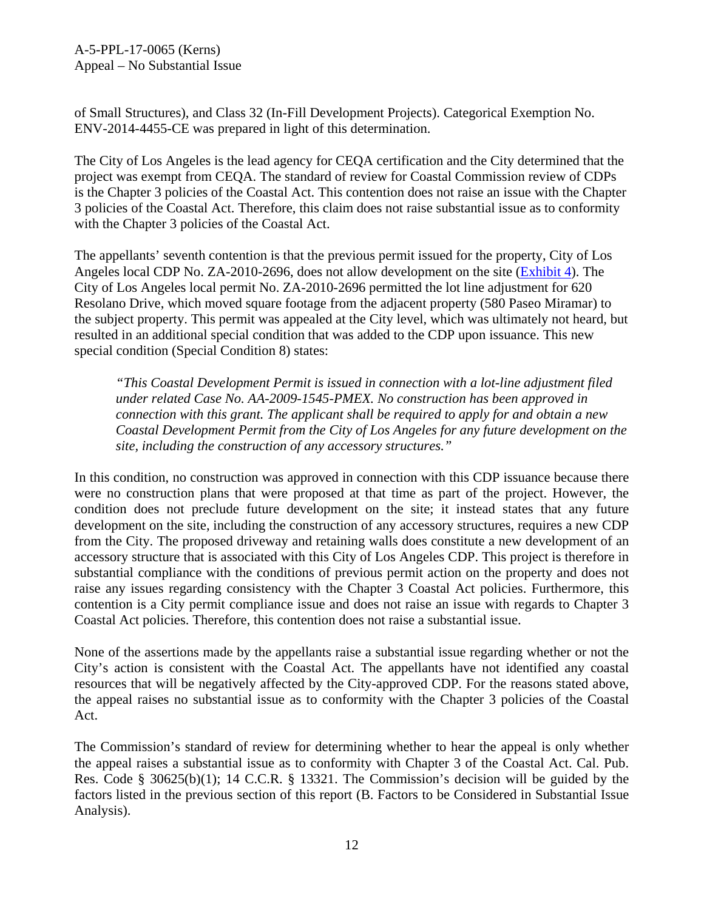A-5-PPL-17-0065 (Kerns) Appeal – No Substantial Issue

of Small Structures), and Class 32 (In-Fill Development Projects). Categorical Exemption No. ENV-2014-4455-CE was prepared in light of this determination.

The City of Los Angeles is the lead agency for CEQA certification and the City determined that the project was exempt from CEQA. The standard of review for Coastal Commission review of CDPs is the Chapter 3 policies of the Coastal Act. This contention does not raise an issue with the Chapter 3 policies of the Coastal Act. Therefore, this claim does not raise substantial issue as to conformity with the Chapter 3 policies of the Coastal Act.

The appellants' seventh contention is that the previous permit issued for the property, City of Los Angeles local CDP No. ZA-2010-2696, does not allow development on the site [\(Exhibit 4\)](https://documents.coastal.ca.gov/reports/2018/2/13a/13a-2-2018-exhibits.pdf). The City of Los Angeles local permit No. ZA-2010-2696 permitted the lot line adjustment for 620 Resolano Drive, which moved square footage from the adjacent property (580 Paseo Miramar) to the subject property. This permit was appealed at the City level, which was ultimately not heard, but resulted in an additional special condition that was added to the CDP upon issuance. This new special condition (Special Condition 8) states:

*"This Coastal Development Permit is issued in connection with a lot-line adjustment filed under related Case No. AA-2009-1545-PMEX. No construction has been approved in connection with this grant. The applicant shall be required to apply for and obtain a new Coastal Development Permit from the City of Los Angeles for any future development on the site, including the construction of any accessory structures."* 

In this condition, no construction was approved in connection with this CDP issuance because there were no construction plans that were proposed at that time as part of the project. However, the condition does not preclude future development on the site; it instead states that any future development on the site, including the construction of any accessory structures, requires a new CDP from the City. The proposed driveway and retaining walls does constitute a new development of an accessory structure that is associated with this City of Los Angeles CDP. This project is therefore in substantial compliance with the conditions of previous permit action on the property and does not raise any issues regarding consistency with the Chapter 3 Coastal Act policies. Furthermore, this contention is a City permit compliance issue and does not raise an issue with regards to Chapter 3 Coastal Act policies. Therefore, this contention does not raise a substantial issue.

None of the assertions made by the appellants raise a substantial issue regarding whether or not the City's action is consistent with the Coastal Act. The appellants have not identified any coastal resources that will be negatively affected by the City-approved CDP. For the reasons stated above, the appeal raises no substantial issue as to conformity with the Chapter 3 policies of the Coastal Act.

The Commission's standard of review for determining whether to hear the appeal is only whether the appeal raises a substantial issue as to conformity with Chapter 3 of the Coastal Act. Cal. Pub. Res. Code § 30625(b)(1); 14 C.C.R. § 13321. The Commission's decision will be guided by the factors listed in the previous section of this report (B. Factors to be Considered in Substantial Issue Analysis).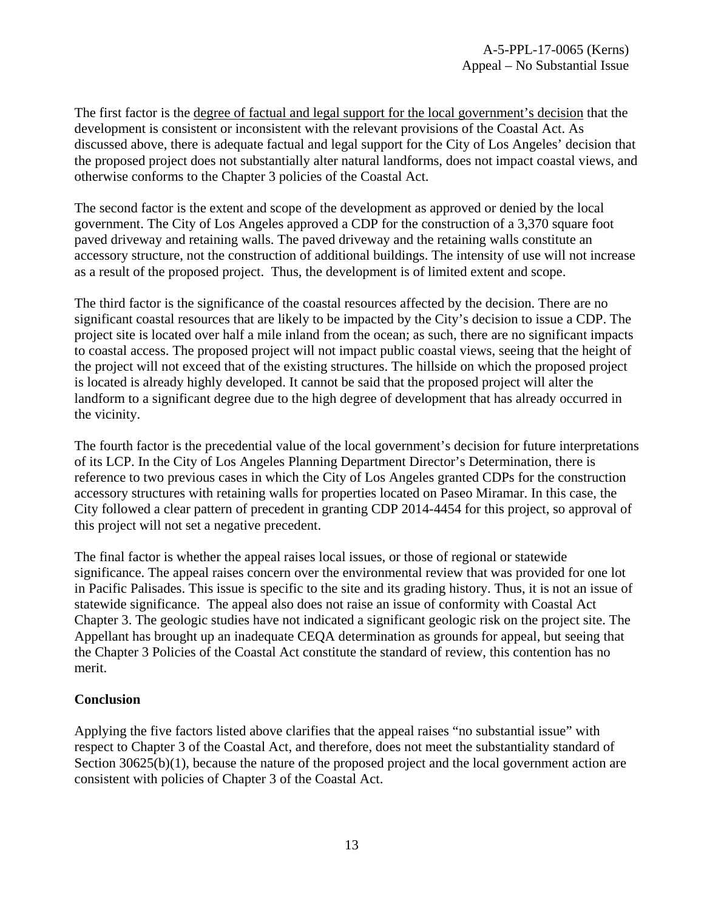The first factor is the degree of factual and legal support for the local government's decision that the development is consistent or inconsistent with the relevant provisions of the Coastal Act. As discussed above, there is adequate factual and legal support for the City of Los Angeles' decision that the proposed project does not substantially alter natural landforms, does not impact coastal views, and otherwise conforms to the Chapter 3 policies of the Coastal Act.

The second factor is the extent and scope of the development as approved or denied by the local government. The City of Los Angeles approved a CDP for the construction of a 3,370 square foot paved driveway and retaining walls. The paved driveway and the retaining walls constitute an accessory structure, not the construction of additional buildings. The intensity of use will not increase as a result of the proposed project. Thus, the development is of limited extent and scope.

The third factor is the significance of the coastal resources affected by the decision. There are no significant coastal resources that are likely to be impacted by the City's decision to issue a CDP. The project site is located over half a mile inland from the ocean; as such, there are no significant impacts to coastal access. The proposed project will not impact public coastal views, seeing that the height of the project will not exceed that of the existing structures. The hillside on which the proposed project is located is already highly developed. It cannot be said that the proposed project will alter the landform to a significant degree due to the high degree of development that has already occurred in the vicinity.

The fourth factor is the precedential value of the local government's decision for future interpretations of its LCP. In the City of Los Angeles Planning Department Director's Determination, there is reference to two previous cases in which the City of Los Angeles granted CDPs for the construction accessory structures with retaining walls for properties located on Paseo Miramar. In this case, the City followed a clear pattern of precedent in granting CDP 2014-4454 for this project, so approval of this project will not set a negative precedent.

The final factor is whether the appeal raises local issues, or those of regional or statewide significance. The appeal raises concern over the environmental review that was provided for one lot in Pacific Palisades. This issue is specific to the site and its grading history. Thus, it is not an issue of statewide significance. The appeal also does not raise an issue of conformity with Coastal Act Chapter 3. The geologic studies have not indicated a significant geologic risk on the project site. The Appellant has brought up an inadequate CEQA determination as grounds for appeal, but seeing that the Chapter 3 Policies of the Coastal Act constitute the standard of review, this contention has no merit.

#### **Conclusion**

Applying the five factors listed above clarifies that the appeal raises "no substantial issue" with respect to Chapter 3 of the Coastal Act, and therefore, does not meet the substantiality standard of Section 30625(b)(1), because the nature of the proposed project and the local government action are consistent with policies of Chapter 3 of the Coastal Act.